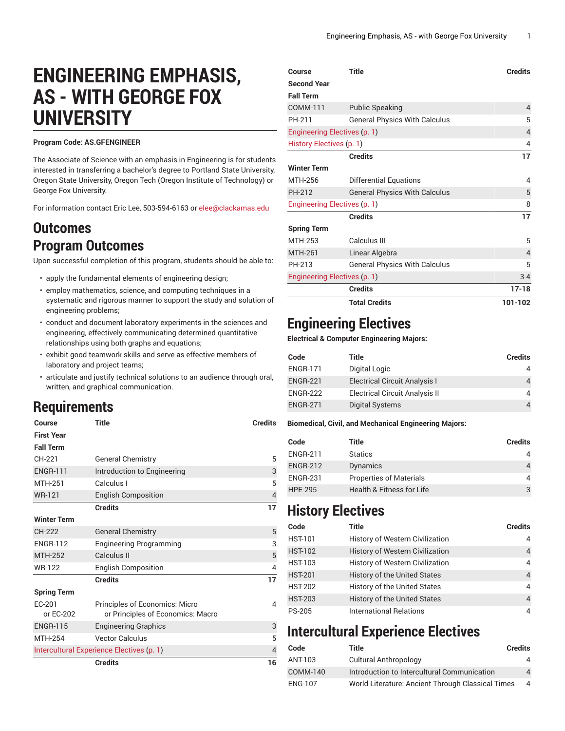# **ENGINEERING EMPHASIS, AS - WITH GEORGE FOX UNIVERSITY**

#### **Program Code: AS.GFENGINEER**

The Associate of Science with an emphasis in Engineering is for students interested in transferring a bachelor's degree to Portland State University, Oregon State University, Oregon Tech (Oregon Institute of Technology) or George Fox University.

For information contact Eric Lee, 503-594-6163 or [elee@clackamas.edu](mailto:elee@clackamas.edu)

#### **Outcomes Program Outcomes**

Upon successful completion of this program, students should be able to:

- apply the fundamental elements of engineering design;
- employ mathematics, science, and computing techniques in a systematic and rigorous manner to support the study and solution of engineering problems;
- conduct and document laboratory experiments in the sciences and engineering, effectively communicating determined quantitative relationships using both graphs and equations;
- exhibit good teamwork skills and serve as effective members of laboratory and project teams;
- articulate and justify technical solutions to an audience through oral, written, and graphical communication.

## **Requirements**

| Course                                    | Title                             | <b>Credits</b> |
|-------------------------------------------|-----------------------------------|----------------|
| <b>First Year</b>                         |                                   |                |
| <b>Fall Term</b>                          |                                   |                |
| CH-221                                    | <b>General Chemistry</b>          | 5              |
| <b>ENGR-111</b>                           | Introduction to Engineering       | 3              |
| <b>MTH-251</b>                            | Calculus I                        | 5              |
| <b>WR-121</b>                             | <b>English Composition</b>        | $\overline{4}$ |
|                                           | <b>Credits</b>                    | 17             |
| <b>Winter Term</b>                        |                                   |                |
| CH-222                                    | <b>General Chemistry</b>          | 5              |
| <b>ENGR-112</b>                           | <b>Engineering Programming</b>    | 3              |
| <b>MTH-252</b>                            | Calculus II                       | 5              |
| <b>WR-122</b>                             | <b>English Composition</b>        | 4              |
|                                           | <b>Credits</b>                    | 17             |
| <b>Spring Term</b>                        |                                   |                |
| EC-201                                    | Principles of Economics: Micro    | 4              |
| or EC-202                                 | or Principles of Economics: Macro |                |
| <b>ENGR-115</b>                           | <b>Engineering Graphics</b>       | 3              |
| <b>MTH-254</b>                            | <b>Vector Calculus</b>            | 5              |
| Intercultural Experience Electives (p. 1) |                                   | $\overline{4}$ |
|                                           | <b>Credits</b>                    | 16             |

| Course                       | <b>Title</b>                         | <b>Credits</b> |
|------------------------------|--------------------------------------|----------------|
| <b>Second Year</b>           |                                      |                |
| <b>Fall Term</b>             |                                      |                |
| COMM-111                     | <b>Public Speaking</b>               | $\overline{4}$ |
| PH-211                       | <b>General Physics With Calculus</b> | 5              |
| Engineering Electives (p. 1) |                                      | $\overline{4}$ |
| History Electives (p. 1)     |                                      | 4              |
|                              | <b>Credits</b>                       | 17             |
| <b>Winter Term</b>           |                                      |                |
| MTH-256                      | Differential Equations               | $\overline{4}$ |
| PH-212                       | <b>General Physics With Calculus</b> | 5              |
| Engineering Electives (p. 1) |                                      | 8              |
|                              | <b>Credits</b>                       | 17             |
| <b>Spring Term</b>           |                                      |                |
| MTH-253                      | Calculus III                         | 5              |
| <b>MTH-261</b>               | Linear Algebra                       | $\overline{4}$ |
| PH-213                       | <b>General Physics With Calculus</b> | 5              |
| Engineering Electives (p. 1) |                                      | $3 - 4$        |
|                              | <b>Credits</b>                       | $17 - 18$      |
|                              | <b>Total Credits</b>                 | 101-102        |

### <span id="page-0-1"></span>**Engineering Electives**

**Electrical & Computer Engineering Majors:**

| Code            | Title                                 | <b>Credits</b> |
|-----------------|---------------------------------------|----------------|
| <b>ENGR-171</b> | Digital Logic                         | 4              |
| <b>ENGR-221</b> | <b>Electrical Circuit Analysis I</b>  | 4              |
| <b>ENGR-222</b> | <b>Electrical Circuit Analysis II</b> | 4              |
| <b>ENGR-271</b> | Digital Systems                       |                |

#### **Biomedical, Civil, and Mechanical Engineering Majors:**

| Code            | Title                                | <b>Credits</b> |
|-----------------|--------------------------------------|----------------|
| <b>ENGR-211</b> | <b>Statics</b>                       | 4              |
| <b>ENGR-212</b> | Dynamics                             | 4              |
| <b>ENGR-231</b> | <b>Properties of Materials</b>       | 4              |
| <b>HPE-295</b>  | <b>Health &amp; Fitness for Life</b> | 3              |

#### <span id="page-0-0"></span>**History Electives**

| Code           | <b>Title</b>                           | <b>Credits</b> |
|----------------|----------------------------------------|----------------|
| <b>HST-101</b> | <b>History of Western Civilization</b> | 4              |
| <b>HST-102</b> | <b>History of Western Civilization</b> | 4              |
| <b>HST-103</b> | History of Western Civilization        | 4              |
| <b>HST-201</b> | <b>History of the United States</b>    | $\overline{4}$ |
| <b>HST-202</b> | <b>History of the United States</b>    | 4              |
| <b>HST-203</b> | <b>History of the United States</b>    | $\overline{4}$ |
| <b>PS-205</b>  | <b>International Relations</b>         | 4              |

### **Intercultural Experience Electives**

| Code           | Title                                             | <b>Credits</b> |
|----------------|---------------------------------------------------|----------------|
| ANT-103        | Cultural Anthropology                             |                |
| COMM-140       | Introduction to Intercultural Communication       | $\overline{4}$ |
| <b>ENG-107</b> | World Literature: Ancient Through Classical Times |                |